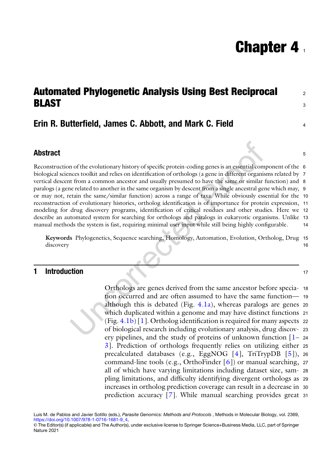# **Chapter 4.**

## <span id="page-0-0"></span>Automated Phylogenetic Analysis Using Best Reciprocal <sup>2</sup> BLAST <sup>3</sup>

### <span id="page-0-2"></span><span id="page-0-1"></span>Erin R. Butterfield, James C. Abbott, and Mark C. Field <sup>4</sup>

#### Abstract 5 and 3 and 3 and 3 and 3 and 3 and 3 and 3 and 3 and 3 and 3 and 3 and 3 and 3 and 3 and 3 and 3 and 3 and 3 and 3 and 3 and 3 and 3 and 3 and 3 and 3 and 3 and 3 and 3 and 3 and 3 and 3 and 3 and 3 and 3 and 3 a

Reconstruction of the evolutionary history of specific protein-coding genes is an essential component of the 6 biological sciences toolkit and relies on identification of orthologs (a gene in different organisms related by 7 vertical descent from a common ancestor and usually presumed to have the same or similar function) and 8 paralogs (a gene related to another in the same organism by descent from a single ancestral gene which may, 9 or may not, retain the same/similar function) across a range of taxa. While obviously essential for the 10 reconstruction of evolutionary histories, ortholog identification is of importance for protein expression, 11 modeling for drug discovery programs, identification of critical residues and other studies. Here we 12 describe an automated system for searching for orthologs and paralogs in eukaryotic organisms. Unlike 13 manual methods the system is fast, requiring minimal user input while still being highly configurable. 14

Keywords Phylogenetics, Sequence searching, Homology, Automation, Evolution, Ortholog, Drug 15 discovery the control of the control of the control of the control of the control of the control of the control of the control of the control of the control of the control of the control of the control of the control of th

#### **1 Introduction** 17

Orthologs are genes derived from the same ancestor before specia- <sup>18</sup> tion occurred and are often assumed to have the same function— <sup>19</sup> although this is debated (Fig.  $4.1a$ ), whereas paralogs are genes 20 which duplicated within a genome and may have distinct functions 21  $(Fig. 4.1b) [1]$  $(Fig. 4.1b) [1]$  $(Fig. 4.1b) [1]$  $(Fig. 4.1b) [1]$ . Ortholog identification is required for many aspects 22 of biological research including evolutionary analysis, drug discov- <sup>23</sup> ery pipelines, and the study of proteins of unknown function  $\begin{bmatrix} 1 \\ -24 \end{bmatrix}$ [3\]](#page-21-1). Prediction of orthologs frequently relies on utilizing either <sup>25</sup> precalculated databases (e.g., EggNOG [\[4\]](#page-21-2), TriTrypDB [[5\]](#page-21-3)), <sup>26</sup> command-line tools (e.g., OrthoFinder [[6\]](#page-21-4)) or manual searching, <sup>27</sup> all of which have varying limitations including dataset size, sam- <sup>28</sup> pling limitations, and difficulty identifying divergent orthologs as <sup>29</sup> increases in ortholog prediction coverage can result in a decrease in <sup>30</sup> prediction accuracy [[7\]](#page-21-5). While manual searching provides great <sup>31</sup>

Luis M. de Pablos and Javier Sotillo (eds.), Parasite Genomics: Methods and Protocols , Methods in Molecular Biology, vol. 2369, [https://doi.org/10.1007/978-1-0716-1681-9\\_4](https://doi.org/10.1007/978-1-0716-1681-9_4#DOI),

<sup>©</sup> The Editor(s) (if applicable) and The Author(s), under exclusive license to Springer Science+Business Media, LLC, part of Springer Nature 2021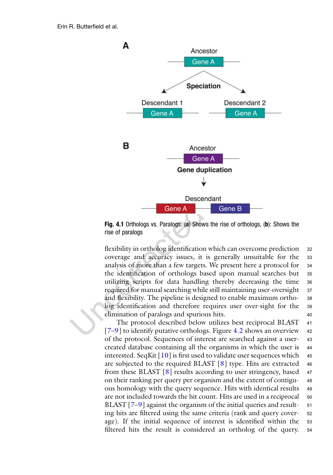<span id="page-1-0"></span>

Fig. 4.1 Orthologs vs. Paralogs. (a) Shows the rise of orthologs, (b): Shows the rise of paralogs

flexibility in ortholog identification which can overcome prediction 32 coverage and accuracy issues, it is generally unsuitable for the <sup>33</sup> analysis of more than a few targets. We present here a protocol for <sup>34</sup> the identification of orthologs based upon manual searches but <sup>35</sup> utilizing scripts for data handling thereby decreasing the time <sup>36</sup> required for manual searching while still maintaining user-oversight 37 and flexibility. The pipeline is designed to enable maximum ortho- <sup>38</sup> log identification and therefore requires user over-sight for the <sup>39</sup> elimination of paralogs and spurious hits. <sup>40</sup>

The protocol described below utilizes best reciprocal BLAST <sup>41</sup> [[7–](#page-21-5)[9\]](#page-21-6) to identify putative orthologs. Figure [4.2](#page-2-0) shows an overview <sup>42</sup> of the protocol. Sequences of interest are searched against a user- <sup>43</sup> created database containing all the organisms in which the user is <sup>44</sup> interested. SeqKit  $[10]$  $[10]$  $[10]$  is first used to validate user sequences which 45 are subjected to the required BLAST  $[8]$  $[8]$  type. Hits are extracted 46 from these BLAST  $[8]$  $[8]$  results according to user stringency, based 47 on their ranking per query per organism and the extent of contigu- <sup>48</sup> ous homology with the query sequence. Hits with identical results <sup>49</sup> are not included towards the hit count. Hits are used in a reciprocal 50 BLAST [[7](#page-21-5)–[9](#page-21-6)] against the organism of the initial queries and result- 51 ing hits are filtered using the same criteria (rank and query cover- <sup>52</sup> age). If the initial sequence of interest is identified within the <sup>53</sup> filtered hits the result is considered an ortholog of the query. <sup>54</sup>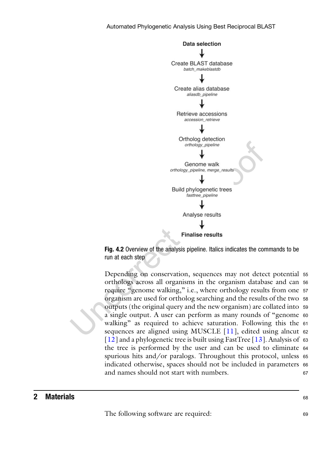<span id="page-2-0"></span>



Depending on conservation, sequences may not detect potential <sup>55</sup> orthologs across all organisms in the organism database and can <sup>56</sup> require "genome walking," i.e., where orthology results from one <sup>57</sup> organism are used for ortholog searching and the results of the two <sup>58</sup> outputs (the original query and the new organism) are collated into <sup>59</sup> a single output. A user can perform as many rounds of "genome <sup>60</sup> walking" as required to achieve saturation. Following this the 61 sequences are aligned using MUSCLE [\[11\]](#page-21-9), edited using alncut 62 [[12\]](#page-21-10) and a phylogenetic tree is built using FastTree [\[13\]](#page-21-11). Analysis of 63 the tree is performed by the user and can be used to eliminate <sup>64</sup> spurious hits and/or paralogs. Throughout this protocol, unless <sup>65</sup> indicated otherwise, spaces should not be included in parameters <sup>66</sup> and names should not start with numbers. 67

#### **2 Materials**  $68$

The following software are required: 69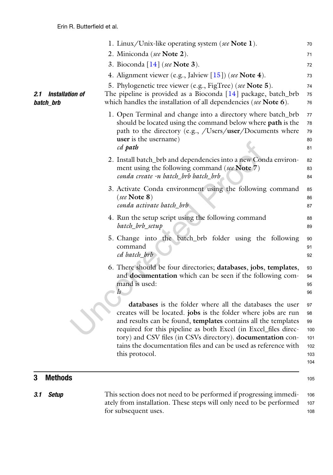|                                            | 1. Linux/Unix-like operating system (see Note 1).                                                                                                                                                                                                                                                                                                                                                                   | 70                                                |
|--------------------------------------------|---------------------------------------------------------------------------------------------------------------------------------------------------------------------------------------------------------------------------------------------------------------------------------------------------------------------------------------------------------------------------------------------------------------------|---------------------------------------------------|
|                                            | 2. Miniconda (see Note 2).                                                                                                                                                                                                                                                                                                                                                                                          | 71                                                |
|                                            | 3. Bioconda $[14]$ (see Note 3).                                                                                                                                                                                                                                                                                                                                                                                    | 72                                                |
|                                            | 4. Alignment viewer (e.g., Jalview $[15]$ ) (see Note 4).                                                                                                                                                                                                                                                                                                                                                           | 73                                                |
| <b>Installation of</b><br>2.1<br>batch_brb | 5. Phylogenetic tree viewer (e.g., FigTree) (see Note 5).<br>The pipeline is provided as a Bioconda $[14]$ package, batch_brb<br>which handles the installation of all dependencies (see Note 6).                                                                                                                                                                                                                   | 74<br>75<br>76                                    |
|                                            | 1. Open Terminal and change into a directory where batch_brb<br>should be located using the command below where <b>path</b> is the<br>path to the directory (e.g., /Users/ $\mu$ ser/Documents where<br><b>user</b> is the username)<br>cd path                                                                                                                                                                     | 77<br>78<br>79<br>80<br>81                        |
|                                            | 2. Install batch_brb and dependencies into a new Conda environ-<br>ment using the following command (see Note 7)<br>conda create -n batch_brb batch_brb                                                                                                                                                                                                                                                             | 82<br>83<br>84                                    |
|                                            | 3. Activate Conda environment using the following command<br>(see Note $8)$ )<br>conda activate batch_brb                                                                                                                                                                                                                                                                                                           | 85<br>86<br>87                                    |
|                                            | 4. Run the setup script using the following command<br>batch_brb_setup                                                                                                                                                                                                                                                                                                                                              | 88<br>89                                          |
|                                            | 5. Change into the batch_brb folder using the following<br>command<br>cd batch_brb                                                                                                                                                                                                                                                                                                                                  | 90<br>91<br>92                                    |
|                                            | 6. There should be four directories; databases, jobs, templates,<br>and <b>documentation</b> which can be seen if the following com-<br>mand is used:                                                                                                                                                                                                                                                               | 93<br>94<br>95<br>96                              |
|                                            | databases is the folder where all the databases the user<br>creates will be located. jobs is the folder where jobs are run<br>and results can be found, templates contains all the templates<br>required for this pipeline as both Excel (in Excel_files direc-<br>tory) and CSV files (in CSVs directory). documentation con-<br>tains the documentation files and can be used as reference with<br>this protocol. | 97<br>98<br>99<br>100<br>101<br>102<br>103<br>104 |
| <b>Methods</b><br>3                        |                                                                                                                                                                                                                                                                                                                                                                                                                     | 105                                               |

| 3.1 Setup | This section does not need to be performed if progressing immedi-       | 106 |
|-----------|-------------------------------------------------------------------------|-----|
|           | ately from installation. These steps will only need to be performed 107 |     |
|           | for subsequent uses.                                                    | 108 |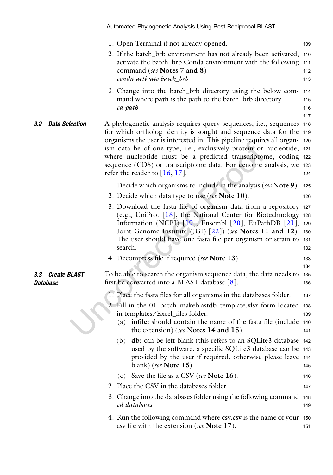<span id="page-4-0"></span>

|                        |                       |     | 1. Open Terminal if not already opened.                                                                                                                                                                                                                                                                                                                                                                                                                                        | 109                      |
|------------------------|-----------------------|-----|--------------------------------------------------------------------------------------------------------------------------------------------------------------------------------------------------------------------------------------------------------------------------------------------------------------------------------------------------------------------------------------------------------------------------------------------------------------------------------|--------------------------|
|                        |                       |     | 2. If the batch_brb environment has not already been activated,<br>activate the batch_brb Conda environment with the following<br>command (see Notes 7 and 8)<br>conda activate batch_brb                                                                                                                                                                                                                                                                                      | 110<br>111<br>112<br>113 |
|                        |                       |     | 3. Change into the batch_brb directory using the below com-<br>mand where <b>path</b> is the path to the batch_brb directory<br>cd path                                                                                                                                                                                                                                                                                                                                        | 114<br>115<br>116<br>117 |
| 3.2                    | <b>Data Selection</b> |     | A phylogenetic analysis requires query sequences, i.e., sequences 118<br>for which ortholog identity is sought and sequence data for the 119<br>organisms the user is interested in. This pipeline requires all organ- 120<br>ism data be of one type, i.e., exclusively protein or nucleotide, 121<br>where nucleotide must be a predicted transcriptome, coding 122<br>sequence (CDS) or transcriptome data. For genome analysis, we 123<br>refer the reader to $[16, 17]$ . | 124                      |
|                        |                       |     | 1. Decide which organisms to include in the analysis (see Note 9).                                                                                                                                                                                                                                                                                                                                                                                                             | 125                      |
|                        |                       |     | 2. Decide which data type to use (see Note 10).                                                                                                                                                                                                                                                                                                                                                                                                                                | 126                      |
|                        |                       |     | 3. Download the fasta file of organism data from a repository 127<br>(e.g., UniProt [18], the National Center for Biotechnology 128<br>Information (NCBI) $[19]$ , Ensembl $[20]$ , EuPathDB $[21]$ , 129<br>Joint Genome Institute (JGI) [22]) (see Notes 11 and 12). 130<br>The user should have one fasta file per organism or strain to 131<br>search.                                                                                                                     | 132                      |
|                        |                       |     | 4. Decompress file if required (see Note 13).                                                                                                                                                                                                                                                                                                                                                                                                                                  | 133<br>134               |
| 3.3<br><b>Database</b> | <b>Create BLAST</b>   |     | To be able to search the organism sequence data, the data needs to<br>first be converted into a BLAST database $[8]$ .                                                                                                                                                                                                                                                                                                                                                         | 135<br>136               |
|                        |                       |     | 1. Place the fasta files for all organisms in the databases folder.                                                                                                                                                                                                                                                                                                                                                                                                            | 137                      |
|                        |                       |     | 2. Fill in the 01_batch_makeblastdb_template.xlsx form located<br>in templates/Excel_files folder.<br>(a) infile: should contain the name of the fasta file (include 140<br>the extension) (see Notes 14 and 15).                                                                                                                                                                                                                                                              | 138<br>139<br>141        |
|                        |                       | (b) | <b>db:</b> can be left blank (this refers to an SQLite3 database 142)<br>used by the software, a specific SQLite3 database can be<br>provided by the user if required, otherwise please leave<br>blank) (see Note $15$ ).                                                                                                                                                                                                                                                      | 143<br>144<br>145        |
|                        |                       | (c) | Save the file as a CSV (see Note 16).                                                                                                                                                                                                                                                                                                                                                                                                                                          | 146                      |
|                        |                       |     | 2. Place the CSV in the databases folder.                                                                                                                                                                                                                                                                                                                                                                                                                                      | 147                      |
|                        |                       |     | 3. Change into the databases folder using the following command<br>cd databases                                                                                                                                                                                                                                                                                                                                                                                                | 148<br>149               |
|                        |                       |     | 4. Run the following command where csv.csv is the name of your<br>csv file with the extension (see Note 17).                                                                                                                                                                                                                                                                                                                                                                   | 150<br>151               |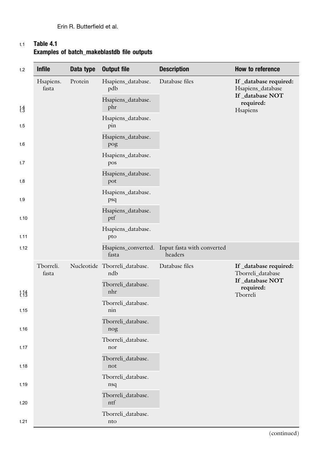<span id="page-5-0"></span>

| t.1 | Table 4.1                                  |
|-----|--------------------------------------------|
|     | Examples of batch makeblastdb file outputs |

| t.2             | <b>Infile</b>      | Data type | <b>Output file</b>                   | <b>Description</b>                                        | How to reference                           |                           |  |  |                           |  |  |  |  |  |  |  |                           |  |
|-----------------|--------------------|-----------|--------------------------------------|-----------------------------------------------------------|--------------------------------------------|---------------------------|--|--|---------------------------|--|--|--|--|--|--|--|---------------------------|--|
|                 | Hsapiens.<br>fasta | Protein   | Hsapiens_database.<br>pdb            | Database files                                            | If_database required:<br>Hsapiens_database |                           |  |  |                           |  |  |  |  |  |  |  |                           |  |
| $\frac{1}{1.3}$ |                    |           | Hsapiens_database.<br>phr            |                                                           | If_database NOT<br>required:<br>Hsapiens   |                           |  |  |                           |  |  |  |  |  |  |  |                           |  |
| t.5             |                    |           |                                      | Hsapiens_database.<br>pin                                 |                                            |                           |  |  |                           |  |  |  |  |  |  |  |                           |  |
| t.6             |                    |           |                                      |                                                           | Hsapiens_database.<br>pog                  |                           |  |  |                           |  |  |  |  |  |  |  |                           |  |
| t.7             |                    |           | Hsapiens_database.<br>pos            |                                                           |                                            |                           |  |  |                           |  |  |  |  |  |  |  |                           |  |
| t.8             |                    |           | Hsapiens_database.<br>pot            |                                                           |                                            |                           |  |  |                           |  |  |  |  |  |  |  |                           |  |
| t.9             |                    |           | Hsapiens_database.<br>psq            |                                                           |                                            |                           |  |  |                           |  |  |  |  |  |  |  |                           |  |
| t.10            |                    |           | Hsapiens_database.<br>ptf            |                                                           |                                            |                           |  |  |                           |  |  |  |  |  |  |  |                           |  |
| t.11            |                    |           | Hsapiens_database.<br>pto            |                                                           |                                            |                           |  |  |                           |  |  |  |  |  |  |  |                           |  |
| t.12            |                    |           | fasta                                | Hsapiens_converted. Input fasta with converted<br>headers |                                            |                           |  |  |                           |  |  |  |  |  |  |  |                           |  |
|                 | Tborreli.<br>fasta |           | Nucleotide Tborreli_database.<br>ndb | Database files                                            | If_database required:<br>Tborreli_database |                           |  |  |                           |  |  |  |  |  |  |  |                           |  |
| $\frac{1}{2}$   |                    |           | Tborreli_database.<br>nhr            |                                                           | If_database NOT<br>required:<br>Tborreli   |                           |  |  |                           |  |  |  |  |  |  |  |                           |  |
| t.15            |                    |           |                                      |                                                           |                                            |                           |  |  | Tborreli_database.<br>nin |  |  |  |  |  |  |  |                           |  |
| t.16            |                    |           |                                      |                                                           |                                            |                           |  |  |                           |  |  |  |  |  |  |  | Tborreli_database.<br>nog |  |
| t.17            |                    |           |                                      |                                                           | Tborreli_database.<br>nor                  |                           |  |  |                           |  |  |  |  |  |  |  |                           |  |
| t.18            |                    |           | Tborreli_database.<br>not            |                                                           |                                            |                           |  |  |                           |  |  |  |  |  |  |  |                           |  |
| t.19            |                    |           | Tborreli_database.<br>nsq            |                                                           |                                            |                           |  |  |                           |  |  |  |  |  |  |  |                           |  |
| t.20            |                    |           |                                      |                                                           |                                            | Tborreli_database.<br>ntf |  |  |                           |  |  |  |  |  |  |  |                           |  |
| t.21            |                    |           |                                      |                                                           |                                            |                           |  |  |                           |  |  |  |  |  |  |  |                           |  |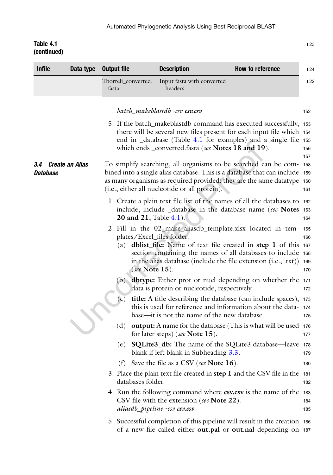<span id="page-6-0"></span>

| <b>Infile</b>   | Data type              | <b>Output file</b>                                     | <b>Description</b>                                                          | How to reference                                                                                                                                                                                                                                                           |
|-----------------|------------------------|--------------------------------------------------------|-----------------------------------------------------------------------------|----------------------------------------------------------------------------------------------------------------------------------------------------------------------------------------------------------------------------------------------------------------------------|
|                 |                        | Tborreli_converted.<br>fasta                           | Input fasta with converted<br>headers                                       |                                                                                                                                                                                                                                                                            |
|                 |                        |                                                        | batch_makeblastdb -csv csv.csv                                              |                                                                                                                                                                                                                                                                            |
|                 |                        |                                                        | which ends _converted.fasta (see Notes 18 and 19).                          | 5. If the batch_makeblastdb command has executed successfully, 153<br>there will be several new files present for each input file which 154<br>end in _database (Table 4.1 for examples) and a single file 155                                                             |
| 3.4<br>Database | <b>Create an Alias</b> |                                                        | (i.e., either all nucleotide or all protein).                               | To simplify searching, all organisms to be searched can be com-158<br>bined into a single alias database. This is a database that can include 159<br>as many organisms as required provided; they are the same datatype 160                                                |
|                 |                        | <b>20 and 21, Table 4.1).</b>                          |                                                                             | 1. Create a plain text file list of the names of all the databases to 162<br>include, include _database in the database name (see Notes 163                                                                                                                                |
|                 |                        | plates/Excel_files folder.<br>(a)<br>(see Note $15$ ). |                                                                             | 2. Fill in the 02_make_aliasdb_template.xlsx located in tem- 165<br><b>dblist_file:</b> Name of text file created in step 1 of this 167<br>section containing the names of all databases to include 168<br>in the alias database (include the file extension (i.e., .txt)) |
|                 |                        | (b)                                                    | data is protein or nucleotide, respectively.                                | <b>dbtype:</b> Either prot or nucl depending on whether the 171                                                                                                                                                                                                            |
|                 |                        | (c)                                                    | base—it is not the name of the new database.                                | title: A title describing the database (can include spaces), 173<br>this is used for reference and information about the data-174                                                                                                                                          |
|                 |                        | (d)                                                    | for later steps) (see Note 15).                                             | output: A name for the database (This is what will be used 176                                                                                                                                                                                                             |
|                 |                        | (e)                                                    | blank if left blank in Subheading 3.3.                                      | <b>SQLite3_db:</b> The name of the SQLite3 database—leave                                                                                                                                                                                                                  |
|                 |                        |                                                        | (f) Save the file as a CSV (see Note $16$ ).                                |                                                                                                                                                                                                                                                                            |
|                 |                        | databases folder.                                      |                                                                             | 3. Place the plain text file created in step 1 and the CSV file in the 181                                                                                                                                                                                                 |
|                 |                        |                                                        | CSV file with the extension (see Note 22).<br>aliasdb_pipeline -csv csv.csv | 4. Run the following command where csv.csv is the name of the 183                                                                                                                                                                                                          |
|                 |                        |                                                        |                                                                             | 5. Successful completion of this pipeline will result in the creation 186<br>of a new file called either <b>out.pal</b> or <b>out.nal</b> depending on 187                                                                                                                 |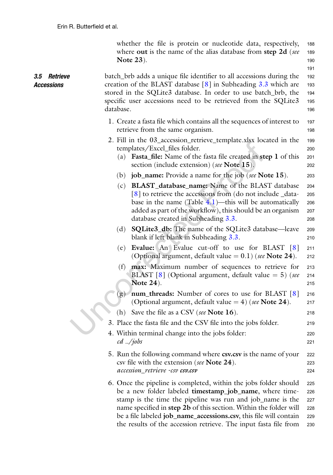whether the file is protein or nucleotide data, respectively, <sup>188</sup> where out is the name of the alias database from step 2d (see 189 Note 23). 190

the results of the accession retrieve. The input fasta file from <sup>230</sup>

191

<span id="page-7-0"></span>

| 3.5 Retrieve<br><b>Accessions</b> | batch_brb adds a unique file identifier to all accessions during the<br>creation of the BLAST database $\lceil 8 \rceil$ in Subheading 3.3 which are<br>stored in the SQLite3 database. In order to use batch_brb, the<br>specific user accessions need to be retrieved from the SQLite3<br>database.                               | 192<br>193<br>194<br>195<br>196 |
|-----------------------------------|-------------------------------------------------------------------------------------------------------------------------------------------------------------------------------------------------------------------------------------------------------------------------------------------------------------------------------------|---------------------------------|
|                                   | 1. Create a fasta file which contains all the sequences of interest to<br>retrieve from the same organism.                                                                                                                                                                                                                          | 197<br>198                      |
|                                   | 2. Fill in the 03_accession_retrieve_template.xlsx located in the<br>templates/Excel_files folder.<br>(a) Fasta_file: Name of the fasta file created in step 1 of this<br>section (include extension) (see Note 15).                                                                                                                | 199<br>200<br>201<br>202        |
|                                   | (b) job_name: Provide a name for the job (see Note 15).                                                                                                                                                                                                                                                                             | 203                             |
|                                   | <b>BLAST_database_name:</b> Name of the BLAST database<br>(c)<br>[8] to retrieve the accessions from (do not include _data-<br>base in the name (Table $4.1$ )—this will be automatically<br>added as part of the workflow), this should be an organism<br>database created in Subheading 3.3.                                      | 204<br>205<br>206<br>207<br>208 |
|                                   | <b>SQLite3_db:</b> The name of the SQLite3 database—leave<br>(d)<br>blank if left blank in Subheading 3.3.                                                                                                                                                                                                                          | 209<br>210                      |
|                                   | Evalue: An Evalue cut-off to use for BLAST [8]<br>(e)<br>(Optional argument, default value $= 0.1$ ) (see Note 24).                                                                                                                                                                                                                 | 211<br>212                      |
|                                   | (f) <b>max:</b> Maximum number of sequences to retrieve for<br>BLAST [8] (Optional argument, default value $= 5$ ) (see<br><b>Note 24</b> ).                                                                                                                                                                                        | 213<br>214<br>215               |
|                                   | (g) num_threads: Number of cores to use for BLAST [8]<br>(Optional argument, default value $=$ 4) (see Note 24).                                                                                                                                                                                                                    | 216<br>217                      |
|                                   | (h) Save the file as a CSV (see Note $16$ ).                                                                                                                                                                                                                                                                                        | 218                             |
|                                   | 3. Place the fasta file and the CSV file into the jobs folder.                                                                                                                                                                                                                                                                      | 219                             |
|                                   | 4. Within terminal change into the jobs folder:<br>$cd$ /jobs                                                                                                                                                                                                                                                                       | 220<br>221                      |
|                                   | 5. Run the following command where csv.csv is the name of your<br>csv file with the extension (see Note 24).<br>accession_retrieve -csv csv.csv                                                                                                                                                                                     | 222<br>223<br>224               |
|                                   | 6. Once the pipeline is completed, within the jobs folder should<br>be a new folder labeled timestamp_job_name, where time-<br>stamp is the time the pipeline was run and job_name is the<br>name specified in step 2b of this section. Within the folder will<br>be a file labeled job_name_accessions.csv, this file will contain | 225<br>226<br>227<br>228<br>229 |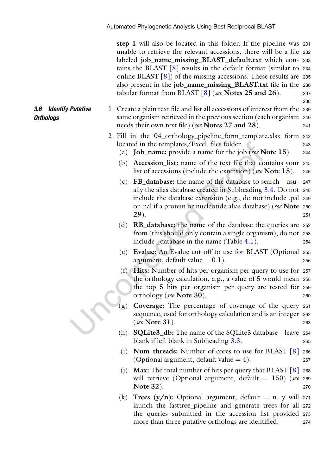step 1 will also be located in this folder. If the pipeline was <sup>231</sup> unable to retrieve the relevant accessions, there will be a file <sup>232</sup> labeled job\_name\_missing\_BLAST\_default.txt which con- <sup>233</sup> tains the BLAST [\[8\]](#page-21-8) results in the default format (similar to <sup>234</sup> online BLAST [[8\]](#page-21-8)) of the missing accessions. These results are <sup>235</sup> also present in the job\_name\_missing\_BLAST.txt file in the <sup>236</sup> tabular format from BLAST  $[8]$  $[8]$  (see Notes 25 and 26). 237

238

- 1. Create a plain text file and list all accessions of interest from the <sup>239</sup> same organism retrieved in the previous section (each organism <sup>240</sup> needs their own text file) (*see* **Notes 27 and 28**). 241
	- 2. Fill in the 04\_orthology\_pipeline\_form\_template.xlsx form <sup>242</sup> located in the templates/Excel\_files folder. 243
		- (a) **Job\_name:** provide a name for the job (see Note  $15$ ). 244
		- (b) Accession\_list: name of the text file that contains your <sup>245</sup> list of accessions (include the extension) (see Note 15). 246
		- (c) FB\_database: the name of the database to search—usu- <sup>247</sup> ally the alias database created in Subheading [3.4](#page-6-0). Do not <sup>248</sup> include the database extension (e.g., do not include .pal <sup>249</sup> or .nal if a protein or nucleotide alias database) (see Note <sup>250</sup> **29**). 251
		- (d) RB\_database: the name of the database the queries are <sup>252</sup> from (this should only contain a single organism), do not <sup>253</sup> include \_database in the name (Table [4.1](#page-5-0)). <sup>254</sup>
		- (e) Evalue: An Evalue cut-off to use for BLAST (Optional <sup>255</sup> argument, default value  $= 0.1$ ). 256
		- (f) Hits: Number of hits per organism per query to use for <sup>257</sup> the orthology calculation, e.g., a value of 5 would mean <sup>258</sup> the top 5 hits per organism per query are tested for <sup>259</sup> orthology (see Note 30). 260
		- (g) Coverage: The percentage of coverage of the query <sup>261</sup> sequence, used for orthology calculation and is an integer <sup>262</sup>  $(see Note 31).$
		- (h) SQLite3\_db: The name of the SQLite3 database—leave <sup>264</sup> blank if left blank in Subheading [3.3](#page-4-0).
		- (i) **Num\_threads:** Number of cores to use for BLAST  $\lceil 8 \rceil$  $\lceil 8 \rceil$  $\lceil 8 \rceil$  266 (Optional argument, default value  $= 4$ ). 267
		- (j) **Max:** The total number of hits per query that  $BLAST [8]$  $BLAST [8]$  $BLAST [8]$  268 will retrieve (Optional argument, default  $= 150$ ) (see 269 Note 32). 270
		- (k) Trees  $(y/n)$ : Optional argument, default = n. y will 271 launch the fasttree\_pipeline and generate trees for all <sup>272</sup> the queries submitted in the accession list provided <sup>273</sup> more than three putative orthologs are identified. 274

#### <span id="page-8-0"></span>3.6 Identify Putative **Orthologs**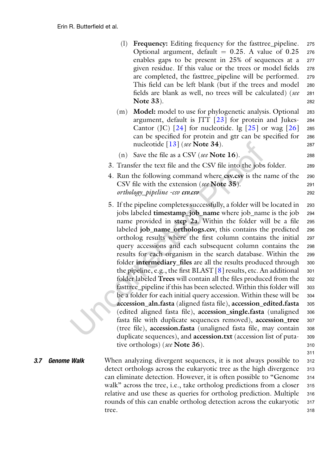- (l) Frequency: Editing frequency for the fasttree\_pipeline. <sup>275</sup> Optional argument, default  $= 0.25$ . A value of 0.25 276 enables gaps to be present in 25% of sequences at a 277 enables gaps to be present in 25% of sequences at a given residue. If this value or the trees or model fields <sup>278</sup> are completed, the fasttree pipeline will be performed. 279 This field can be left blank (but if the trees and model <sup>280</sup> fields are blank as well, no trees will be calculated) (see <sup>281</sup> Note 33). 282
- (m) Model: model to use for phylogenetic analysis. Optional <sup>283</sup> argument, default is JTT  $[23]$  for protein and Jukes- 284 Cantor (JC)  $\lceil 24 \rceil$  $\lceil 24 \rceil$  $\lceil 24 \rceil$  for nucleotide. Ig  $\lceil 25 \rceil$  or wag  $\lceil 26 \rceil$  $\lceil 26 \rceil$  $\lceil 26 \rceil$  285 can be specified for protein and gtr can be specified for <sup>286</sup> nucleotide  $\lceil 13 \rceil$  (see Note 34).
- (n) Save the file as a CSV (see Note  $16$ ). 288
- 3. Transfer the text file and the CSV file into the jobs folder. <sup>289</sup>
- 4. Run the following command where csv.csv is the name of the <sup>290</sup> CSV file with the extension (*see* Note 35). orthology\_pipeline -csv csv.csv <sup>292</sup>
- 5. If the pipeline completes successfully, a folder will be located in <sup>293</sup> jobs labeled timestamp\_job\_name where job\_name is the job <sup>294</sup> name provided in step 2a. Within the folder will be a file <sup>295</sup> labeled job\_name\_orthologs.csv, this contains the predicted <sup>296</sup> ortholog results where the first column contains the initial <sup>297</sup> query accessions and each subsequent column contains the <sup>298</sup> results for each organism in the search database. Within the <sup>299</sup> folder **intermediary\_files** are all the results produced through 300 the pipeline, e.g., the first  $BLAST [8]$  $BLAST [8]$  results, etc. An additional 301 folder labeled Trees will contain all the files produced from the 302 fasttree\_pipeline if this has been selected. Within this folder will 303 be a folder for each initial query accession. Within these will be 304 accession\_aln.fasta (aligned fasta file), accession\_edited.fasta <sup>305</sup> (edited aligned fasta file), accession\_single.fasta (unaligned <sup>306</sup> fasta file with duplicate sequences removed), accession\_tree 307 (tree file), accession.fasta (unaligned fasta file, may contain <sup>308</sup> duplicate sequences), and accession.txt (accession list of puta- <sup>309</sup> tive orthologs) (see **Note 36**). 310

311

<span id="page-9-0"></span>**3.7 Genome Walk** When analyzing divergent sequences, it is not always possible to 312 detect orthologs across the eukaryotic tree as the high divergence 313 can eliminate detection. However, it is often possible to "Genome <sup>314</sup> walk" across the tree, i.e., take ortholog predictions from a closer 315 relative and use these as queries for ortholog prediction. Multiple <sup>316</sup> rounds of this can enable ortholog detection across the eukaryotic 317 tree. 318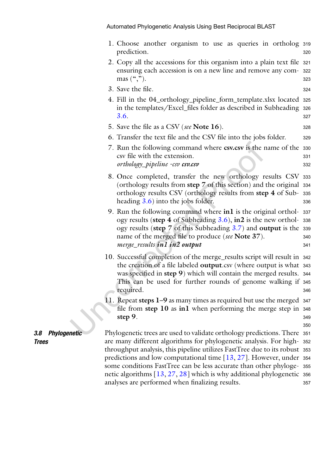|                  | 1. Choose another organism to use as queries in ortholog 319<br>prediction.                                                                                                                                                                                                                                   | 320        |
|------------------|---------------------------------------------------------------------------------------------------------------------------------------------------------------------------------------------------------------------------------------------------------------------------------------------------------------|------------|
|                  | 2. Copy all the accessions for this organism into a plain text file 321<br>ensuring each accession is on a new line and remove any com- 322<br>mas $(\lq, \lq)$ .                                                                                                                                             | 323        |
|                  | 3. Save the file.                                                                                                                                                                                                                                                                                             | 324        |
|                  | 4. Fill in the 04_orthology_pipeline_form_template.xlsx located<br>in the templates/Excel_files folder as described in Subheading 326<br>3.6.                                                                                                                                                                 | 325<br>327 |
|                  | 5. Save the file as a CSV (see Note 16).                                                                                                                                                                                                                                                                      | 328        |
|                  | 6. Transfer the text file and the CSV file into the jobs folder.                                                                                                                                                                                                                                              | 329        |
|                  | 7. Run the following command where csv.csv is the name of the 330<br>csv file with the extension.<br>orthology_pipeline -csv csv.csv                                                                                                                                                                          | 331<br>332 |
|                  | 8. Once completed, transfer the new orthology results CSV 333<br>(orthology results from step 7 of this section) and the original 334<br>orthology results CSV (orthology results from step 4 of Sub-335<br>heading $3.6$ ) into the jobs folder.                                                             | 336        |
|                  | 9. Run the following command where in1 is the original orthol- 337<br>ogy results (step $4$ of Subheading $3.6$ ), in 2 is the new orthol- 338<br>ogy results (step $7$ of this Subheading $3.7$ ) and output is the 339<br>name of the merged file to produce (see Note 37).<br>merge_results in1 in2 output | 340<br>341 |
|                  | 10. Successful completion of the merge_results script will result in 342<br>the creation of a file labeled output.csv (where output is what 343<br>was specified in step 9) which will contain the merged results. 344<br>This can be used for further rounds of genome walking if 345<br>required.           | 346        |
|                  | 11. Repeat steps 1–9 as many times as required but use the merged 347<br>file from step $10$ as in l when performing the merge step in $348$<br>step 9.                                                                                                                                                       | 349        |
| 3.8 Phylogenetic | Phylogenetic trees are used to validate orthology predictions. There 351                                                                                                                                                                                                                                      | 350        |
| <b>Trees</b>     | are many different algorithms for phylogenetic analysis. For high- 352                                                                                                                                                                                                                                        |            |
|                  | throughput analysis, this pipeline utilizes FastTree due to its robust 353<br>predictions and low computational time $[13, 27]$ . However, under 354                                                                                                                                                          |            |
|                  | some conditions FastTree can be less accurate than other phyloge- 355                                                                                                                                                                                                                                         |            |
|                  | netic algorithms $[13, 27, 28]$ which is why additional phylogenetic 356                                                                                                                                                                                                                                      |            |
|                  | analyses are performed when finalizing results.                                                                                                                                                                                                                                                               | 357        |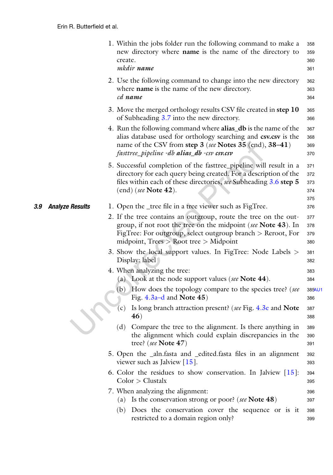|     |                        | 1. Within the jobs folder run the following command to make a<br>new directory where <b>name</b> is the name of the directory to<br>create.<br>mkdir name                                                                                     | 358<br>359<br>360<br>361        |
|-----|------------------------|-----------------------------------------------------------------------------------------------------------------------------------------------------------------------------------------------------------------------------------------------|---------------------------------|
|     |                        | 2. Use the following command to change into the new directory<br>where <b>name</b> is the name of the new directory.<br>cd name                                                                                                               | 362<br>363<br>364               |
|     |                        | 3. Move the merged orthology results CSV file created in step 10<br>of Subheading 3.7 into the new directory.                                                                                                                                 | 365<br>366                      |
|     |                        | 4. Run the following command where alias_db is the name of the<br>alias database used for orthology searching and csv.csv is the<br>name of the CSV from step 3 (see Notes 35 (end), 38–41)<br>fasttree_pipeline -db alias_db -csv csv.csv    | 367<br>368<br>369<br>370        |
|     |                        | 5. Successful completion of the fasttree_pipeline will result in a<br>directory for each query being created. For a description of the<br>files within each of these directories, see Subheading 3.6 step 5<br>$(end)$ (see Note 42).         | 371<br>372<br>373<br>374<br>375 |
| 3.9 | <b>Analyze Results</b> | 1. Open the _tree file in a tree viewer such as FigTree.                                                                                                                                                                                      | 376                             |
|     |                        | 2. If the tree contains an outgroup, route the tree on the out-<br>group, if not root the tree on the midpoint (see Note 43). In<br>FigTree: For outgroup, select outgroup branch $>$ Reroot, For<br>midpoint, $Trees > Root tree > Midpoint$ | 377<br>378<br>379<br>380        |
|     |                        | 3. Show the local support values. In FigTree: Node Labels ><br>Display: label                                                                                                                                                                 | 381<br>382                      |
|     |                        | 4. When analyzing the tree:<br>(a) Look at the node support values (see Note $44$ ).                                                                                                                                                          | 383<br>384                      |
|     |                        | How does the topology compare to the species tree? (see<br>(b)<br>Fig. $4.3a-d$ and Note $45$ )                                                                                                                                               | 385AU1<br>386                   |
|     |                        | Is long branch attraction present? (see Fig. 4.3e and Note<br>(c)<br>46)                                                                                                                                                                      | 387<br>388                      |
|     |                        | Compare the tree to the alignment. Is there anything in<br>(d)<br>the alignment which could explain discrepancies in the<br>tree? (see Note 47)                                                                                               | 389<br>390<br>391               |
|     |                        | 5. Open the _aln.fasta and _edited.fasta files in an alignment<br>viewer such as Jalview $[15]$ .                                                                                                                                             | 392<br>393                      |
|     |                        | 6. Color the residues to show conservation. In Jalview $[15]$ :<br>Color > Clustalx                                                                                                                                                           | 394<br>395                      |
|     |                        | 7. When analyzing the alignment:                                                                                                                                                                                                              | 396                             |
|     |                        | (a) Is the conservation strong or poor? (see Note $48$ )                                                                                                                                                                                      | 397                             |
|     |                        | (b) Does the conservation cover the sequence or is it<br>restricted to a domain region only?                                                                                                                                                  | 398<br>399                      |
|     |                        |                                                                                                                                                                                                                                               |                                 |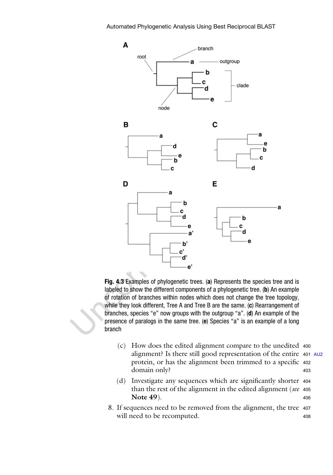<span id="page-12-0"></span>

Fig. 4.3 Examples of phylogenetic trees. (a) Represents the species tree and is labeled to show the different components of a phylogenetic tree. (b) An example of rotation of branches within nodes which does not change the tree topology, while they look different, Tree A and Tree B are the same. (c) Rearrangement of branches, species "e" now groups with the outgroup "a". (d) An example of the presence of paralogs in the same tree. (e) Species "a" is an example of a long branch

- (c) How does the edited alignment compare to the unedited <sup>400</sup> alignment? Is there still good representation of the entire <sup>401</sup> [AU2](#page-0-1) protein, or has the alignment been trimmed to a specific <sup>402</sup> domain only? 403
- (d) Investigate any sequences which are significantly shorter <sup>404</sup> than the rest of the alignment in the edited alignment (see 405) Note  $49$ ).  $406$
- 8. If sequences need to be removed from the alignment, the tree <sup>407</sup> will need to be recomputed. 408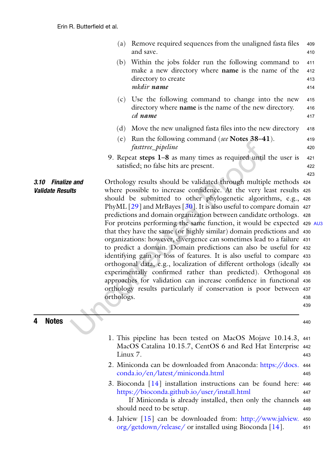|                                              |            | (a) Remove required sequences from the unaligned fasta files<br>and save.                                                                                                                                                                                                                                                                                                                                                                                                                                                                                                                                                                                                                                                                                                                                                                                                                                                                                                                                                                    | 409<br>410               |
|----------------------------------------------|------------|----------------------------------------------------------------------------------------------------------------------------------------------------------------------------------------------------------------------------------------------------------------------------------------------------------------------------------------------------------------------------------------------------------------------------------------------------------------------------------------------------------------------------------------------------------------------------------------------------------------------------------------------------------------------------------------------------------------------------------------------------------------------------------------------------------------------------------------------------------------------------------------------------------------------------------------------------------------------------------------------------------------------------------------------|--------------------------|
|                                              | (b)        | Within the jobs folder run the following command to<br>make a new directory where name is the name of the<br>directory to create<br>mkdir name                                                                                                                                                                                                                                                                                                                                                                                                                                                                                                                                                                                                                                                                                                                                                                                                                                                                                               | 411<br>412<br>413<br>414 |
|                                              | (c)        | Use the following command to change into the new<br>directory where name is the name of the new directory.<br>cd name                                                                                                                                                                                                                                                                                                                                                                                                                                                                                                                                                                                                                                                                                                                                                                                                                                                                                                                        | 415<br>416<br>417        |
|                                              | (d)        | Move the new unaligned fasta files into the new directory                                                                                                                                                                                                                                                                                                                                                                                                                                                                                                                                                                                                                                                                                                                                                                                                                                                                                                                                                                                    | 418                      |
|                                              | (e)        | Run the following command (see Notes 38–41).<br>fasttree_pipeline                                                                                                                                                                                                                                                                                                                                                                                                                                                                                                                                                                                                                                                                                                                                                                                                                                                                                                                                                                            | 419<br>420               |
|                                              |            | 9. Repeat steps $1-8$ as many times as required until the user is<br>satisfied; no false hits are present.                                                                                                                                                                                                                                                                                                                                                                                                                                                                                                                                                                                                                                                                                                                                                                                                                                                                                                                                   | 421<br>422<br>423        |
| 3.10 Finalize and<br><b>Validate Results</b> | orthologs. | Orthology results should be validated through multiple methods 424<br>where possible to increase confidence. At the very least results 425<br>should be submitted to other phylogenetic algorithms, e.g., 426<br>PhyML $[29]$ and MrBayes $[30]$ . It is also useful to compare domain 427<br>predictions and domain organization between candidate orthologs. 428<br>For proteins performing the same function, it would be expected 429 AU3<br>that they have the same (or highly similar) domain predictions and 430<br>organizations: however, divergence can sometimes lead to a failure 431<br>to predict a domain. Domain predictions can also be useful for 432<br>identifying gain or loss of features. It is also useful to compare 433<br>orthogonal data, e.g., localization of different orthologs (ideally 434<br>experimentally confirmed rather than predicted). Orthogonal 435<br>approaches for validation can increase confidence in functional 436<br>orthology results particularly if conservation is poor between 437 | 438<br>439               |
| <b>Notes</b>                                 |            |                                                                                                                                                                                                                                                                                                                                                                                                                                                                                                                                                                                                                                                                                                                                                                                                                                                                                                                                                                                                                                              | 440                      |
|                                              | Linux 7.   | 1. This pipeline has been tested on MacOS Mojave 10.14.3, 441<br>MacOS Catalina 10.15.7, CentOS 6 and Red Hat Enterprise 442                                                                                                                                                                                                                                                                                                                                                                                                                                                                                                                                                                                                                                                                                                                                                                                                                                                                                                                 | 443                      |
|                                              |            | 2. Miniconda can be downloaded from Anaconda: https://docs.<br>conda.io/en/latest/miniconda.html                                                                                                                                                                                                                                                                                                                                                                                                                                                                                                                                                                                                                                                                                                                                                                                                                                                                                                                                             | 444<br>445               |
|                                              |            | 3. Bioconda $[14]$ installation instructions can be found here: 446<br>https://bioconda.github.io/user/install.html<br>If Miniconda is already installed, then only the channels 448<br>should need to be setup.                                                                                                                                                                                                                                                                                                                                                                                                                                                                                                                                                                                                                                                                                                                                                                                                                             | 447<br>449               |

4. Jalview [[15](#page-21-13)] can be downloaded from: [http://www.jalview.](http://www.jalview.org/getdown/release/) <sup>450</sup> [org/getdown/release/](http://www.jalview.org/getdown/release/) or installed using Bioconda [\[14\]](#page-21-12). <sup>451</sup>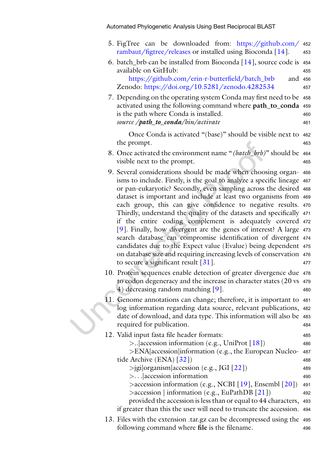- 5. FigTree can be downloaded from: [https://github.com/](https://github.com/rambaut/figtree/releases) <sup>452</sup> [rambaut/figtree/releases](https://github.com/rambaut/figtree/releases) or installed using Bioconda [\[14](#page-21-12)]. <sup>453</sup>
- 6. batch\_brb can be installed from Bioconda  $[14]$  $[14]$ , source code is 454 available on GitHub: <sup>455</sup> [https://github.com/erin-r-butterfield/batch\\_brb](https://github.com/erin-r-butterfield/batch_brb) and 456

Zenodo: <https://doi.org/10.5281/zenodo.4282534> <sup>457</sup>

7. Depending on the operating system Conda may first need to be <sup>458</sup> activated using the following command where path\_to\_conda <sup>459</sup> is the path where Conda is installed. <sup>460</sup> source / path\_to\_conda/bin/activate 461

Once Conda is activated "(base)" should be visible next to <sup>462</sup> the prompt. 463

- 8. Once activated the environment name "(batch\_brb)" should be 464 visible next to the prompt. 465
- 9. Several considerations should be made when choosing organ- <sup>466</sup> isms to include. Firstly, is the goal to analyze a specific lineage <sup>467</sup> or pan-eukaryotic? Secondly, even sampling across the desired <sup>468</sup> dataset is important and include at least two organisms from <sup>469</sup> each group, this can give confidence to negative results. <sup>470</sup> Thirdly, understand the quality of the datasets and specifically <sup>471</sup> if the entire coding complement is adequately covered <sup>472</sup> [\[9](#page-21-6)]. Finally, how divergent are the genes of interest? A large <sup>473</sup> search database can compromise identification of divergent <sup>474</sup> candidates due to the Expect value (Evalue) being dependent <sup>475</sup> on database size and requiring increasing levels of conservation <sup>476</sup> to secure a significant result  $\left[3\right]$ . 477
- 10. Protein sequences enable detection of greater divergence due <sup>478</sup> to codon degeneracy and the increase in character states (20 vs <sup>479</sup> 4) decreasing random matching [\[9](#page-21-6)]. 480
- 11. Genome annotations can change; therefore, it is important to <sup>481</sup> log information regarding data source, relevant publications, <sup>482</sup> date of download, and data type. This information will also be <sup>483</sup> required for publication. 484
- 12. Valid input fasta file header formats: <sup>485</sup>  $>$ .. accession information (e.g., UniProt [\[18\]](#page-22-2)) 486

>ENA|accession|information (e.g., the European Nucleo- <sup>487</sup> tide Archive  $(ENA)$   $\lceil 32 \rceil$  $\lceil 32 \rceil$  $\lceil 32 \rceil$  488

 $>$ jgi|organism|accession (e.g., JGI [\[22\]](#page-22-6)) 489

>...|accession information <sup>490</sup>

 $\geq$  accession information (e.g., NCBI [[19](#page-22-3)], Ensembl [\[20](#page-22-4)]) 491  $>\arccession$  | information (e.g., EuPathDB [[21\]](#page-22-5)) 492 provided the accession is less than or equal to 44 characters, <sup>493</sup>

if greater than this the user will need to truncate the accession. <sup>494</sup>

13. Files with the extension .tar.gz can be decompressed using the <sup>495</sup> following command where **file** is the filename. 496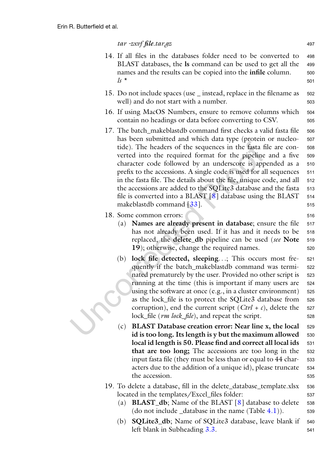#### tar -zxvf file.tar.gz 497

- 14. If all files in the databases folder need to be converted to <sup>498</sup> BLAST databases, the ls command can be used to get all the <sup>499</sup> names and the results can be copied into the **infile** column. 500  $\sqrt{15}$  \* 501
- 15. Do not include spaces (use \_ instead, replace in the filename as <sup>502</sup> well) and do not start with a number. 503
- 16. If using MacOS Numbers, ensure to remove columns which <sup>504</sup> contain no headings or data before converting to CSV.  $505$
- 17. The batch makeblastdb command first checks a valid fasta file 506 has been submitted and which data type (protein or nucleo- <sup>507</sup> tide). The headers of the sequences in the fasta file are con- <sup>508</sup> verted into the required format for the pipeline and a five <sup>509</sup> character code followed by an underscore is appended as a <sup>510</sup> prefix to the accessions. A single code is used for all sequences 511 in the fasta file. The details about the file, unique code, and all 512 the accessions are added to the SQLite3 database and the fasta 513 file is converted into a BLAST  $[8]$  $[8]$  database using the BLAST 514 makeblastdb command [[33\]](#page-22-17). 515
- 18. Some common errors: 516
	- (a) **Names are already present in database**; ensure the file 517 has not already been used. If it has and it needs to be 518 replaced, the **delete\_db** pipeline can be used (see Note 519 19); otherwise, change the required names.  $19$
	- (b) lock file detected, sleeping...; This occurs most fre- <sup>521</sup> quently if the batch\_makeblastdb command was termi- <sup>522</sup> nated prematurely by the user. Provided no other script is 523 running at the time (this is important if many users are <sup>524</sup> using the software at once (e.g., in a cluster environment) <sup>525</sup> as the lock\_file is to protect the SQLite3 database from <sup>526</sup> corruption), end the current script  $(Ctrl + c)$ , delete the 527 lock\_file (*rm lock\_file*), and repeat the script. 528
	- $(c)$  BLAST Database creation error: Near line x, the local  $529$ id is too long. Its length is y but the maximum allowed 530 local id length is 50. Please find and correct all local ids 531 that are too long; The accessions are too long in the <sup>532</sup> input fasta file (they must be less than or equal to 44 char- <sup>533</sup> acters due to the addition of a unique id), please truncate 534 the accession. 535

#### 19. To delete a database, fill in the delete\_database\_template.xlsx <sup>536</sup> located in the templates/Excel\_files folder: 537

- (a) **BLAST\_db**; Name of the BLAST  $[8]$  $[8]$  database to delete 538 (do not include database in the name  $(Table 4.1)$  $(Table 4.1)$ ).  $539$
- (b) **SQLite3\_db**; Name of SQLite3 database, leave blank if 540 left blank in Subheading [3.3.](#page-4-0) 541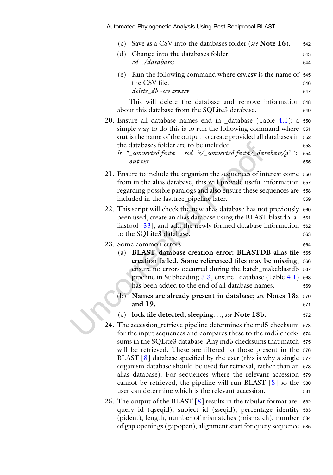|  | (c) | Save as a CSV into the databases folder (see Note 16).                                                                              | 542 |
|--|-----|-------------------------------------------------------------------------------------------------------------------------------------|-----|
|  | (d) | Change into the databases folder.                                                                                                   | 543 |
|  |     | cd/databases                                                                                                                        | 544 |
|  | (e) | Run the following command where csv.csv is the name of 545                                                                          |     |
|  |     | the CSV file.                                                                                                                       | 546 |
|  |     | delete_db -csv csv.csv                                                                                                              | 547 |
|  |     | This will delete the database and remove information 548<br>about this database from the SQLite3 database.                          | 549 |
|  |     | 20. Ensure all database names end in $_$ database (Table 4.1); a 550                                                                |     |
|  |     | simple way to do this is to run the following command where 551                                                                     |     |
|  |     | out is the name of the output to create provided all databases in 552<br>the databases folder are to be included.                   |     |
|  |     | ls $*_{\text{1}}$ converted.fasta   sed 's/_converted.fasta/_database/g' > 554                                                      | 553 |
|  |     | $\boldsymbol{\mathit{out}.txt}$                                                                                                     | 555 |
|  |     | 21. Ensure to include the organism the sequences of interest come 556                                                               |     |
|  |     | from in the alias database, this will provide useful information 557                                                                |     |
|  |     | regarding possible paralogs and also ensure these sequences are 558                                                                 |     |
|  |     | included in the fasttree_pipeline later.                                                                                            | 559 |
|  |     | 22. This script will check the new alias database has not previously 560                                                            |     |
|  |     | been used, create an alias database using the BLAST blastdb_a- 561                                                                  |     |
|  |     | liastool $\lceil 33 \rceil$ , and add the newly formed database information 562                                                     |     |
|  |     | to the SQLite3 database.                                                                                                            | 563 |
|  |     | 23. Some common errors:                                                                                                             | 564 |
|  |     | (a) BLAST database creation error: BLASTDB alias file 565<br>creation failed. Some referenced files may be missing; 566             |     |
|  |     | ensure no errors occurred during the batch_makeblastdb 567                                                                          |     |
|  |     | pipeline in Subheading $3.3$ , ensure $_$ database (Table $4.1$ )                                                                   | 568 |
|  |     | has been added to the end of all database names.                                                                                    | 569 |
|  | (b) | Names are already present in database; see Notes 18a 570                                                                            |     |
|  |     | and 19.                                                                                                                             | 571 |
|  | (c) | lock file detected, sleeping; see Note 18b.                                                                                         | 572 |
|  |     | 24. The accession_retrieve pipeline determines the md5 checksum 573                                                                 |     |
|  |     | for the input sequences and compares these to the md5 check- 574                                                                    |     |
|  |     | sums in the SQLite3 database. Any md5 checksums that match 575<br>will be retrieved. These are filtered to those present in the 576 |     |
|  |     | BLAST $[8]$ database specified by the user (this is why a single $577$                                                              |     |
|  |     | organism database should be used for retrieval, rather than an 578                                                                  |     |
|  |     | alias database). For sequences where the relevant accession 579                                                                     |     |
|  |     | cannot be retrieved, the pipeline will run BLAST $[8]$ so the 580                                                                   |     |
|  |     | user can determine which is the relevant accession.                                                                                 | 581 |
|  |     | 25. The output of the BLAST $[8]$ results in the tabular format are: 582                                                            |     |
|  |     | query id (qseqid), subject id (sseqid), percentage identity 583                                                                     |     |
|  |     | (pident), length, number of mismatches (mismatch), number 584                                                                       |     |

of gap openings (gapopen), alignment start for query sequence <sup>585</sup>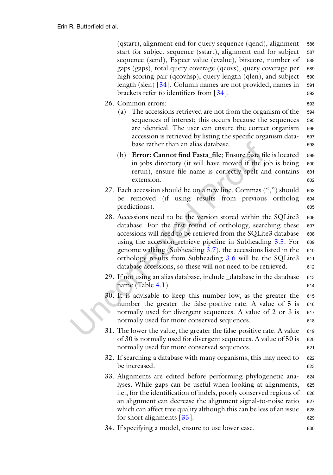(qstart), alignment end for query sequence (qend), alignment <sup>586</sup> start for subject sequence (sstart), alignment end for subject <sup>587</sup> sequence (send), Expect value (evalue), bitscore, number of <sup>588</sup> gaps (gaps), total query coverage (qcovs), query coverage per <sup>589</sup> high scoring pair (qcovhsp), query length (qlen), and subject 590 length (slen)  $\lceil 34 \rceil$  $\lceil 34 \rceil$  $\lceil 34 \rceil$ . Column names are not provided, names in 591 brackets refer to identifiers from [\[34\]](#page-22-18). 592

- 26. Common errors: <sup>593</sup>
	- (a) The accessions retrieved are not from the organism of the <sup>594</sup> sequences of interest; this occurs because the sequences 595 are identical. The user can ensure the correct organism <sup>596</sup> accession is retrieved by listing the specific organism data- <sup>597</sup> base rather than an alias database. 598
	- (b) **Error: Cannot find Fasta\_file**; Ensure fasta file is located 599 in jobs directory (it will have moved if the job is being 600 rerun), ensure file name is correctly spelt and contains <sup>601</sup> extension. 602
- 27. Each accession should be on a new line. Commas  $(\tilde{\cdot}, \tilde{\cdot})$  should 603 be removed (if using results from previous ortholog <sup>604</sup> predictions). 605
- 28. Accessions need to be the version stored within the SQLite3 606 database. For the first round of orthology, searching these 607 accessions will need to be retrieved from the SQLite3 database 608 using the accession\_retrieve pipeline in Subheading [3.5.](#page-7-0) For 609 genome walking (Subheading  $3.7$ ), the accessions listed in the 610 orthology results from Subheading [3.6](#page-8-0) will be the SQLite3 611 database accessions, so these will not need to be retrieved. 612
- 29. If not using an alias database, include \_database in the database <sup>613</sup> name (Table [4.1\)](#page-5-0).
- 30. It is advisable to keep this number low, as the greater the <sup>615</sup> number the greater the false-positive rate. A value of 5 is 616 normally used for divergent sequences. A value of 2 or 3 is 617 normally used for more conserved sequences. 618
- 31. The lower the value, the greater the false-positive rate. A value 619 of 30 is normally used for divergent sequences. A value of 50 is 620 normally used for more conserved sequences. 621
- 32. If searching a database with many organisms, this may need to 622 be increased. 623
- 33. Alignments are edited before performing phylogenetic ana- <sup>624</sup> lyses. While gaps can be useful when looking at alignments, <sup>625</sup> i.e., for the identification of indels, poorly conserved regions of 626 an alignment can decrease the alignment signal-to-noise ratio 627 which can affect tree quality although this can be less of an issue 628 for short alignments  $\lceil 35 \rceil$ . 629
- 34. If specifying a model, ensure to use lower case. <sup>630</sup>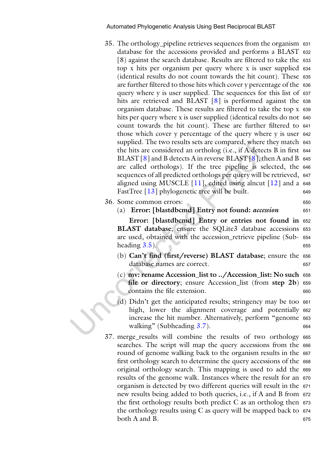- 35. The orthology\_pipeline retrieves sequences from the organism <sup>631</sup> database for the accessions provided and performs a BLAST <sup>632</sup> [8) against the search database. Results are filtered to take the <sup>633</sup> top x hits per organism per query where x is user supplied <sup>634</sup> (identical results do not count towards the hit count). These <sup>635</sup> are further filtered to those hits which cover y percentage of the <sup>636</sup> query where y is user supplied. The sequences for this list of <sup>637</sup> hits are retrieved and BLAST [[8\]](#page-21-8) is performed against the 638 organism database. These results are filtered to take the top x <sup>639</sup> hits per query where x is user supplied (identical results do not 640) count towards the hit count). These are further filtered to <sup>641</sup> those which cover y percentage of the query where y is user <sup>642</sup> supplied. The two results sets are compared, where they match <sup>643</sup> the hits are considered an ortholog (i.e., if A detects B in first <sup>644</sup> BLAST  $\lceil 8 \rceil$  and B detects A in reverse BLAST  $\lceil 8 \rceil$ , then A and B 645 are called orthologs). If the tree pipeline is selected, the <sup>646</sup> sequences of all predicted orthologs per query will be retrieved, <sup>647</sup> aligned using MUSCLE  $[11]$ , edited using alncut  $[12]$  $[12]$  and a 648 FastTree [\[13\]](#page-21-11) phylogenetic tree will be built. 649
- 36. Some common errors: <sup>650</sup>
	- (a) Error: [blastdbcmd] Entry not found: accession 651

Error: [blastdbcmd] Entry or entries not found in <sup>652</sup> BLAST database; ensure the SQLite3 database accessions 653 are used, obtained with the accession\_retrieve pipeline (Sub- <sup>654</sup>  $\frac{1}{2}$  heading  $3.5$ ).

- (b) Can't find (first/reverse) BLAST database; ensure the <sup>656</sup> database names are correct. 657
- (c) mv: rename Accession\_list to ../Accession\_list: No such <sup>658</sup> file or directory; ensure Accession\_list (from step 2b) 659 contains the file extension. 660
- (d) Didn't get the anticipated results; stringency may be too <sup>661</sup> high, lower the alignment coverage and potentially 662 increase the hit number. Alternatively, perform "genome <sup>663</sup> walking" (Subheading [3.7\)](#page-9-0). 664
- 37. merge\_results will combine the results of two orthology <sup>665</sup> searches. The script will map the query accessions from the <sup>666</sup> round of genome walking back to the organism results in the 667 first orthology search to determine the query accessions of the 668 original orthology search. This mapping is used to add the <sup>669</sup> results of the genome walk. Instances where the result for an <sup>670</sup> organism is detected by two different queries will result in the <sup>671</sup> new results being added to both queries, i.e., if A and B from <sup>672</sup> the first orthology results both predict C as an ortholog then <sup>673</sup> the orthology results using  $C$  as query will be mapped back to  $674$ both A and B. 675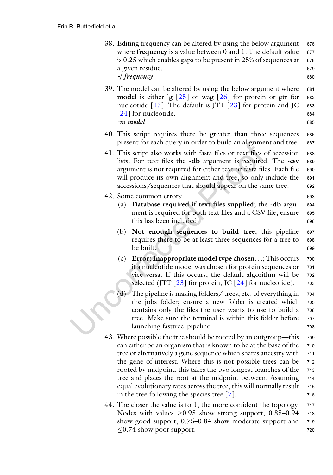- 38. Editing frequency can be altered by using the below argument 676 where **frequency** is a value between  $0$  and  $1$ . The default value 677 is  $0.25$  which enables gaps to be present in  $25\%$  of sequences at 678 a given residue. 679 -f frequency 680
- 39. The model can be altered by using the below argument where 681 **model** is either  $\lg$   $[25]$  $[25]$  or wag  $[26]$  $[26]$  for protein or gtr for 682 nucleotide  $[13]$  $[13]$  $[13]$ . The default is JTT  $[23]$  $[23]$  for protein and JC 683 [[24\]](#page-22-8) for nucleotide. 684 -m model <sup>685</sup>
- 40. This script requires there be greater than three sequences <sup>686</sup> present for each query in order to build an alignment and tree. <sup>687</sup>
- 41. This script also works with fasta files or text files of accession <sup>688</sup> lists. For text files the -db argument is required. The -csv <sup>689</sup> argument is not required for either text or fasta files. Each file 690 will produce its own alignment and tree, so only include the 691 accessions/sequences that should appear on the same tree. <sup>692</sup>
- 42. Some common errors: <sup>693</sup>
	- (a) Database required if text files supplied; the -db argu- <sup>694</sup> ment is required for both text files and a CSV file, ensure 695 this has been included. 696
	- (b) Not enough sequences to build tree; this pipeline <sup>697</sup> requires there to be at least three sequences for a tree to <sup>698</sup> be built. 699
	- (c) Error: Inappropriate model type chosen...; This occurs  $\frac{700}{200}$ if a nucleotide model was chosen for protein sequences or 701 vice versa. If this occurs, the default algorithm will be <sup>702</sup> selected (JTT  $[23]$  for protein, JC  $[24]$  $[24]$  $[24]$  for nucleotide). 703
	- (d) The pipeline is making folders/ trees, etc. of everything in <sup>704</sup> the jobs folder; ensure a new folder is created which <sup>705</sup> contains only the files the user wants to use to build a <sup>706</sup> tree. Make sure the terminal is within this folder before <sup>707</sup> launching fasttree\_pipeline 708
- 43. Where possible the tree should be rooted by an outgroup—this <sup>709</sup> can either be an organism that is known to be at the base of the <sup>710</sup> tree or alternatively a gene sequence which shares ancestry with <sup>711</sup> the gene of interest. Where this is not possible trees can be <sup>712</sup> rooted by midpoint, this takes the two longest branches of the <sup>713</sup> tree and places the root at the midpoint between. Assuming <sup>714</sup> equal evolutionary rates across the tree, this will normally result <sup>715</sup> in the tree following the species tree  $[7]$  $[7]$ .  $\qquad \qquad$  716
- 44. The closer the value is to 1, the more confident the topology.  $717$ Nodes with values  $\geq$  0.95 show strong support, 0.85–0.94 718<br>show good support, 0.75–0.84 show moderate support and 719 show good support,  $0.75-0.84$  show moderate support and  $\leq$ 0.74 show poor support. 720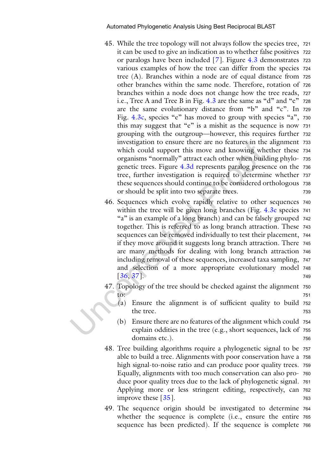- 45. While the tree topology will not always follow the species tree, <sup>721</sup> it can be used to give an indication as to whether false positives <sup>722</sup> or paralogs have been included [[7](#page-21-5)]. Figure [4.3](#page-12-0) demonstrates <sup>723</sup> various examples of how the tree can differ from the species <sup>724</sup> tree (A). Branches within a node are of equal distance from <sup>725</sup> other branches within the same node. Therefore, rotation of <sup>726</sup> branches within a node does not change how the tree reads, <sup>727</sup> i.e., Tree A and Tree B in Fig. [4.3](#page-12-0) are the same as "d" and "e" <sup>728</sup> are the same evolutionary distance from "b" and "c". In <sup>729</sup> Fig. [4.3c,](#page-12-0) species "e" has moved to group with species "a", 730 this may suggest that "e" is a mishit as the sequence is now <sup>731</sup> grouping with the outgroup—however, this requires further <sup>732</sup> investigation to ensure there are no features in the alignment <sup>733</sup> which could support this move and knowing whether these <sup>734</sup> organisms "normally" attract each other when building phylo- <sup>735</sup> genetic trees. Figure [4.3d](#page-12-0) represents paralog presence on the 736 tree, further investigation is required to determine whether <sup>737</sup> these sequences should continue to be considered orthologous <sup>738</sup> or should be split into two separate trees. <sup>739</sup>
- 46. Sequences which evolve rapidly relative to other sequences <sup>740</sup> within the tree will be given long branches (Fig. [4.3e](#page-12-0) species <sup>741</sup> "a" is an example of a long branch) and can be falsely grouped <sup>742</sup> together. This is referred to as long branch attraction. These <sup>743</sup> sequences can be removed individually to test their placement, <sup>744</sup> if they move around it suggests long branch attraction. There <sup>745</sup> are many methods for dealing with long branch attraction <sup>746</sup> including removal of these sequences, increased taxa sampling, <sup>747</sup> and selection of a more appropriate evolutionary model <sup>748</sup>  $[36, 37]$  $[36, 37]$  $[36, 37]$  $[36, 37]$  $[36, 37]$ . 749

47. Topology of the tree should be checked against the alignment <sup>750</sup> to: <sup>751</sup>

- (a) Ensure the alignment is of sufficient quality to build <sup>752</sup> the tree. The state of the tree. The state of the state of the state of the state of the state of the state of the state of the state of the state of the state of the state of the state of the state of the state of the sta
- (b) Ensure there are no features of the alignment which could <sup>754</sup> explain oddities in the tree (e.g., short sequences, lack of <sup>755</sup> domains etc.).
- 48. Tree building algorithms require a phylogenetic signal to be <sup>757</sup> able to build a tree. Alignments with poor conservation have a <sup>758</sup> high signal-to-noise ratio and can produce poor quality trees. <sup>759</sup> Equally, alignments with too much conservation can also pro- <sup>760</sup> duce poor quality trees due to the lack of phylogenetic signal. <sup>761</sup> Applying more or less stringent editing, respectively, can <sup>762</sup> improve these  $\lceil 35 \rceil$ . 763
- 49. The sequence origin should be investigated to determine <sup>764</sup> whether the sequence is complete (i.e., ensure the entire <sup>765</sup> sequence has been predicted). If the sequence is complete <sup>766</sup>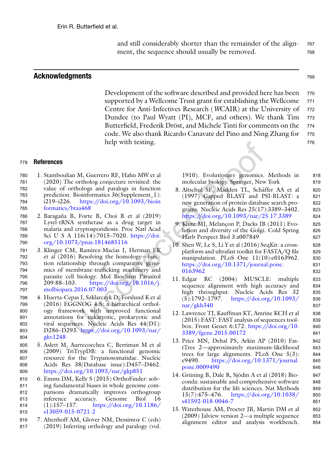and still considerably shorter than the remainder of the align- <sup>767</sup> ment, the sequence should usually be removed. The removed.

#### Acknowledgments <sup>769</sup>

Development of the software described and provided here has been 770 supported by a Wellcome Trust grant for establishing the Wellcome 771 Centre for Anti-Infectives Research (WCAIR) at the University of 772 Dundee (to Paul Wyatt (PI), MCF, and others). We thank Tim <sup>773</sup> Butterfield, Frederik Dröst, and Michele Tinti for comments on the 774 code. We also thank Ricardo Canavate del Pino and Ning Zhang for 775 help with testing. 776

<sup>778</sup> References

- <span id="page-21-8"></span><span id="page-21-0"></span>780 1. Stamboulian M, Guerrero RF, Hahn MW et al 781 (2020) The ortholog conjecture revisited: the 782 value of orthologs and paralogs in function 783 prediction. Bioinformatics 36(Supplement\_1): 784 i219–i226. [https://doi.org/10.1093/bioin](https://doi.org/10.1093/bioinformatics/btaa468) 785 [formatics/btaa468](https://doi.org/10.1093/bioinformatics/btaa468)
- <span id="page-21-6"></span>786 2. Baragaña B, Forte B, Choi R et al (2019) 787 Lysyl-tRNA synthetase as a drug target in 788 malaria and cryptosporidiosis. Proc Natl Acad 789 Sci U S A 116(14):7015–7020. [https://doi.](https://doi.org/10.1073/pnas.1814685116) 790 [org/10.1073/pnas.1814685116](https://doi.org/10.1073/pnas.1814685116)
- <span id="page-21-7"></span><span id="page-21-1"></span>791 3. Klinger CM, Ramirez-Macias I, Herman EK 792 et al (2016) Resolving the homology—func-793 tion relationship through comparative geno-794 mics of membrane-trafficking machinery and 795 parasite cell biology. Mol Biochem Parasitol 796 209:88–103. [https://doi.org/10.1016/j.](https://doi.org/10.1016/j.molbiopara.2016.07.003) 797 [molbiopara.2016.07.003](https://doi.org/10.1016/j.molbiopara.2016.07.003)
- <span id="page-21-10"></span><span id="page-21-9"></span><span id="page-21-2"></span>798 4. Huerta-Cepas J, Szklarczyk D, Forslund K et al 799 (2016) EGGNOG 4.5: a hierarchical orthol-800 ogy framework with improved functional 801 annotations for eukaryotic, prokaryotic and 802 viral sequences. Nucleic Acids Res 44(D1): 803 D286–D293. [https://doi.org/10.1093/nar/](https://doi.org/10.1093/nar/gkv1248) 804 [gkv1248](https://doi.org/10.1093/nar/gkv1248)
- <span id="page-21-11"></span><span id="page-21-3"></span>805 5. Aslett M, Aurrecoechea C, Berriman M et al 806 (2009) TriTrypDB: a functional genomic 807 resource for the Trypanosomatidae. Nucleic 808 Acids Res 38(Database issue):D457–D462. 809 <https://doi.org/10.1093/nar/gkp851>
- <span id="page-21-12"></span><span id="page-21-4"></span>810 6. Emms DM, Kelly S (2015) OrthoFinder: solv-811 ing fundamental biases in whole genome com-812 parisons dramatically improves orthogroup 813 inference accuracy. Genome Biol 16 814 (1):157–157. [https://doi.org/10.1186/](https://doi.org/10.1186/s13059-015-0721-2) 815 [s13059-015-0721-2](https://doi.org/10.1186/s13059-015-0721-2)
- <span id="page-21-13"></span><span id="page-21-5"></span>816 7. Altenhoff AM, Glover NM, Dessimoz C (eds) 817 (2019) Inferring orthology and paralogy (vol.

1910). Evolutionary genomics. Methods in 818 molecular biology. Springer, New York 819

- 8. Altschul SF, Madden TL, Schäffer AA et al 820 (1997) Gapped BLAST and PSI-BLAST: a 821 new generation of protein database search pro- 822 grams. Nucleic Acids Res 25(17):3389–3402. 823 <https://doi.org/10.1093/nar/25.17.3389> 824
- 9. Klute MJ, Melançon P, Dacks JB (2011) Evo- 825 lution and diversity of the Golgi. Cold Spring 826 Harb Perspect Biol 3:a007849 827
- 10. Shen W, Le S, Li Y et al (2016) SeqKit: a cross- 828 platform and ultrafast toolkit for FASTA/Q file 829 manipulation. PLoS One 11(10):e0163962. 830 [https://doi.org/10.1371/journal.pone.](https://doi.org/10.1371/journal.pone.0163962) 831 [0163962](https://doi.org/10.1371/journal.pone.0163962) 832
- 11. Edgar RC (2004) MUSCLE: multiple 833 sequence alignment with high accuracy and 834 high throughput. Nucleic Acids Res 32 835  $(5):1792-1797.$  [https://doi.org/10.1093/](https://doi.org/10.1093/nar/gkh340) 836  $nar/gkh340$  837
- 12. Lawrence TJ, Kauffman KT, Amrine KCH et al 838 (2015) FAST: FAST analysis of sequences tool- 839 box. Front Genet 6:172. [https://doi.org/10.](https://doi.org/10.3389/fgene.2015.00172) 840 [3389/fgene.2015.00172](https://doi.org/10.3389/fgene.2015.00172) 841
- 13. Price MN, Dehal PS, Arkin AP (2010) Fas- 842 tTree 2—approximately maximum-likelihood 843 trees for large alignments. PLoS One 5(3): 844 e9490. [https://doi.org/10.1371/journal.](https://doi.org/10.1371/journal.pone.0009490) 845 [pone.0009490](https://doi.org/10.1371/journal.pone.0009490) 846
- 14. Grüning B, Dale R, Sjödin A et al (2018) Bio- 847 conda: sustainable and comprehensive software 848 distribution for the life sciences. Nat Methods 849 15(7):475–476. [https://doi.org/10.1038/](https://doi.org/10.1038/s41592-018-0046-7) 850 [s41592-018-0046-7](https://doi.org/10.1038/s41592-018-0046-7) 851
- 15. Waterhouse AM, Procter JB, Martin DM et al 852 (2009) Jalview version 2—a multiple sequence 853 alignment editor and analysis workbench. 854